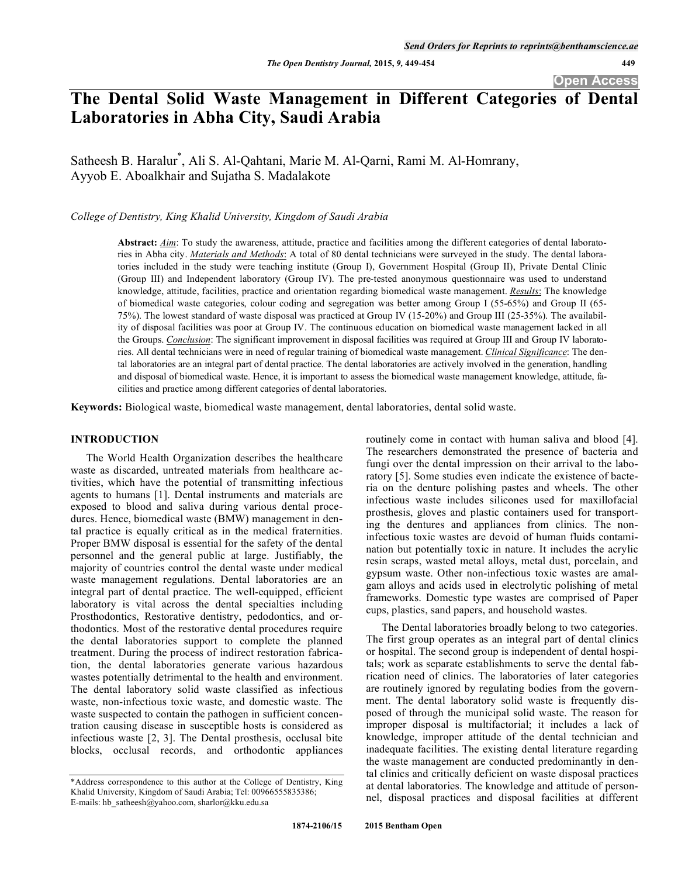**Open Access** 

# **The Dental Solid Waste Management in Different Categories of Dental Laboratories in Abha City, Saudi Arabia**

Satheesh B. Haralur<sup>\*</sup>, Ali S. Al-Qahtani, Marie M. Al-Qarni, Rami M. Al-Homrany, Ayyob E. Aboalkhair and Sujatha S. Madalakote

*College of Dentistry, King Khalid University, Kingdom of Saudi Arabia* 

**Abstract:** *Aim*: To study the awareness, attitude, practice and facilities among the different categories of dental laboratories in Abha city. *Materials and Methods*: A total of 80 dental technicians were surveyed in the study. The dental laboratories included in the study were teaching institute (Group I), Government Hospital (Group II), Private Dental Clinic (Group III) and Independent laboratory (Group IV). The pre-tested anonymous questionnaire was used to understand knowledge, attitude, facilities, practice and orientation regarding biomedical waste management. *Results*: The knowledge of biomedical waste categories, colour coding and segregation was better among Group I (55-65%) and Group II (65- 75%). The lowest standard of waste disposal was practiced at Group IV (15-20%) and Group III (25-35%). The availability of disposal facilities was poor at Group IV. The continuous education on biomedical waste management lacked in all the Groups. *Conclusion*: The significant improvement in disposal facilities was required at Group III and Group IV laboratories. All dental technicians were in need of regular training of biomedical waste management. *Clinical Significance*: The dental laboratories are an integral part of dental practice. The dental laboratories are actively involved in the generation, handling and disposal of biomedical waste. Hence, it is important to assess the biomedical waste management knowledge, attitude, facilities and practice among different categories of dental laboratories.

**Keywords:** Biological waste, biomedical waste management, dental laboratories, dental solid waste.

## **INTRODUCTION**

The World Health Organization describes the healthcare waste as discarded, untreated materials from healthcare activities, which have the potential of transmitting infectious agents to humans [1]. Dental instruments and materials are exposed to blood and saliva during various dental procedures. Hence, biomedical waste (BMW) management in dental practice is equally critical as in the medical fraternities. Proper BMW disposal is essential for the safety of the dental personnel and the general public at large. Justifiably, the majority of countries control the dental waste under medical waste management regulations. Dental laboratories are an integral part of dental practice. The well-equipped, efficient laboratory is vital across the dental specialties including Prosthodontics, Restorative dentistry, pedodontics, and orthodontics. Most of the restorative dental procedures require the dental laboratories support to complete the planned treatment. During the process of indirect restoration fabrication, the dental laboratories generate various hazardous wastes potentially detrimental to the health and environment. The dental laboratory solid waste classified as infectious waste, non-infectious toxic waste, and domestic waste. The waste suspected to contain the pathogen in sufficient concentration causing disease in susceptible hosts is considered as infectious waste [2, 3]. The Dental prosthesis, occlusal bite blocks, occlusal records, and orthodontic appliances

routinely come in contact with human saliva and blood [4]. The researchers demonstrated the presence of bacteria and fungi over the dental impression on their arrival to the laboratory [5]. Some studies even indicate the existence of bacteria on the denture polishing pastes and wheels. The other infectious waste includes silicones used for maxillofacial prosthesis, gloves and plastic containers used for transporting the dentures and appliances from clinics. The noninfectious toxic wastes are devoid of human fluids contamination but potentially toxic in nature. It includes the acrylic resin scraps, wasted metal alloys, metal dust, porcelain, and gypsum waste. Other non-infectious toxic wastes are amalgam alloys and acids used in electrolytic polishing of metal frameworks. Domestic type wastes are comprised of Paper cups, plastics, sand papers, and household wastes.

The Dental laboratories broadly belong to two categories. The first group operates as an integral part of dental clinics or hospital. The second group is independent of dental hospitals; work as separate establishments to serve the dental fabrication need of clinics. The laboratories of later categories are routinely ignored by regulating bodies from the government. The dental laboratory solid waste is frequently disposed of through the municipal solid waste. The reason for improper disposal is multifactorial; it includes a lack of knowledge, improper attitude of the dental technician and inadequate facilities. The existing dental literature regarding the waste management are conducted predominantly in dental clinics and critically deficient on waste disposal practices at dental laboratories. The knowledge and attitude of personnel, disposal practices and disposal facilities at different

<sup>\*</sup>Address correspondence to this author at the College of Dentistry, King Khalid University, Kingdom of Saudi Arabia; Tel: 00966555835386; E-mails: hb\_satheesh@yahoo.com, sharlor@kku.edu.sa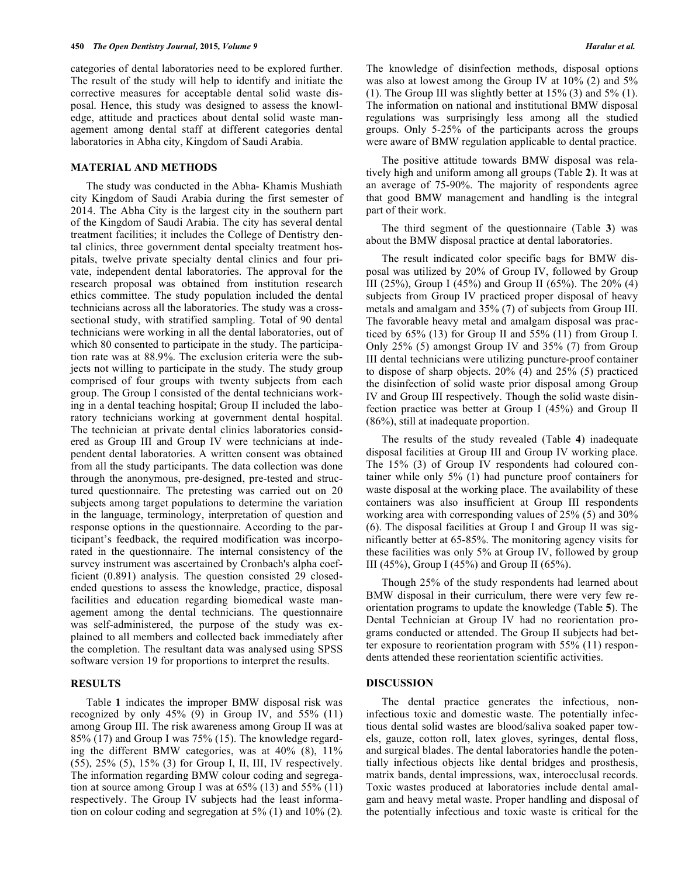categories of dental laboratories need to be explored further. The result of the study will help to identify and initiate the corrective measures for acceptable dental solid waste disposal. Hence, this study was designed to assess the knowledge, attitude and practices about dental solid waste management among dental staff at different categories dental laboratories in Abha city, Kingdom of Saudi Arabia.

#### **MATERIAL AND METHODS**

The study was conducted in the Abha- Khamis Mushiath city Kingdom of Saudi Arabia during the first semester of 2014. The Abha City is the largest city in the southern part of the Kingdom of Saudi Arabia. The city has several dental treatment facilities; it includes the College of Dentistry dental clinics, three government dental specialty treatment hospitals, twelve private specialty dental clinics and four private, independent dental laboratories. The approval for the research proposal was obtained from institution research ethics committee. The study population included the dental technicians across all the laboratories. The study was a crosssectional study, with stratified sampling. Total of 90 dental technicians were working in all the dental laboratories, out of which 80 consented to participate in the study. The participation rate was at 88.9%. The exclusion criteria were the subjects not willing to participate in the study. The study group comprised of four groups with twenty subjects from each group. The Group I consisted of the dental technicians working in a dental teaching hospital; Group II included the laboratory technicians working at government dental hospital. The technician at private dental clinics laboratories considered as Group III and Group IV were technicians at independent dental laboratories. A written consent was obtained from all the study participants. The data collection was done through the anonymous, pre-designed, pre-tested and structured questionnaire. The pretesting was carried out on 20 subjects among target populations to determine the variation in the language, terminology, interpretation of question and response options in the questionnaire. According to the participant's feedback, the required modification was incorporated in the questionnaire. The internal consistency of the survey instrument was ascertained by Cronbach's alpha coefficient (0.891) analysis. The question consisted 29 closedended questions to assess the knowledge, practice, disposal facilities and education regarding biomedical waste management among the dental technicians. The questionnaire was self-administered, the purpose of the study was explained to all members and collected back immediately after the completion. The resultant data was analysed using SPSS software version 19 for proportions to interpret the results.

#### **RESULTS**

Table **1** indicates the improper BMW disposal risk was recognized by only  $45\%$  (9) in Group IV, and  $55\%$  (11) among Group III. The risk awareness among Group II was at 85% (17) and Group I was 75% (15). The knowledge regarding the different BMW categories, was at  $40\%$  (8),  $11\%$ (55), 25% (5), 15% (3) for Group I, II, III, IV respectively. The information regarding BMW colour coding and segregation at source among Group I was at  $65\%$  (13) and  $55\%$  (11) respectively. The Group IV subjects had the least information on colour coding and segregation at 5% (1) and 10% (2).

The knowledge of disinfection methods, disposal options was also at lowest among the Group IV at 10% (2) and 5% (1). The Group III was slightly better at  $15\%$  (3) and  $5\%$  (1). The information on national and institutional BMW disposal regulations was surprisingly less among all the studied groups. Only 5-25% of the participants across the groups were aware of BMW regulation applicable to dental practice.

The positive attitude towards BMW disposal was relatively high and uniform among all groups (Table **2**). It was at an average of 75-90%. The majority of respondents agree that good BMW management and handling is the integral part of their work.

The third segment of the questionnaire (Table **3**) was about the BMW disposal practice at dental laboratories.

The result indicated color specific bags for BMW disposal was utilized by 20% of Group IV, followed by Group III (25%), Group I (45%) and Group II (65%). The 20% (4) subjects from Group IV practiced proper disposal of heavy metals and amalgam and 35% (7) of subjects from Group III. The favorable heavy metal and amalgam disposal was practiced by  $65\%$  (13) for Group II and  $55\%$  (11) from Group I. Only 25% (5) amongst Group IV and 35% (7) from Group III dental technicians were utilizing puncture-proof container to dispose of sharp objects. 20% (4) and 25% (5) practiced the disinfection of solid waste prior disposal among Group IV and Group III respectively. Though the solid waste disinfection practice was better at Group I (45%) and Group II (86%), still at inadequate proportion.

The results of the study revealed (Table **4**) inadequate disposal facilities at Group III and Group IV working place. The 15% (3) of Group IV respondents had coloured container while only 5% (1) had puncture proof containers for waste disposal at the working place. The availability of these containers was also insufficient at Group III respondents working area with corresponding values of 25% (5) and 30% (6). The disposal facilities at Group I and Group II was significantly better at 65-85%. The monitoring agency visits for these facilities was only 5% at Group IV, followed by group III (45%), Group I (45%) and Group II (65%).

Though 25% of the study respondents had learned about BMW disposal in their curriculum, there were very few reorientation programs to update the knowledge (Table **5**). The Dental Technician at Group IV had no reorientation programs conducted or attended. The Group II subjects had better exposure to reorientation program with 55% (11) respondents attended these reorientation scientific activities.

#### **DISCUSSION**

The dental practice generates the infectious, noninfectious toxic and domestic waste. The potentially infectious dental solid wastes are blood/saliva soaked paper towels, gauze, cotton roll, latex gloves, syringes, dental floss, and surgical blades. The dental laboratories handle the potentially infectious objects like dental bridges and prosthesis, matrix bands, dental impressions, wax, interocclusal records. Toxic wastes produced at laboratories include dental amalgam and heavy metal waste. Proper handling and disposal of the potentially infectious and toxic waste is critical for the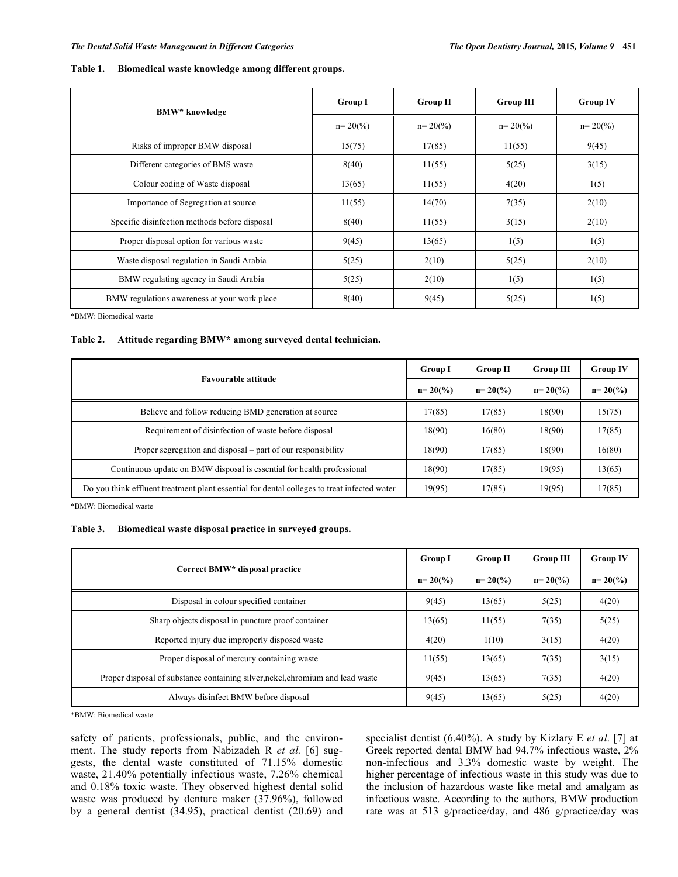#### **Table 1. Biomedical waste knowledge among different groups.**

| <b>BMW*</b> knowledge                         | <b>Group I</b>      | <b>Group II</b>     | <b>Group III</b>    | <b>Group IV</b>     |
|-----------------------------------------------|---------------------|---------------------|---------------------|---------------------|
|                                               | $n = 20\frac{6}{6}$ | $n = 20\frac{6}{6}$ | $n = 20\frac{6}{6}$ | $n = 20\frac{6}{6}$ |
| Risks of improper BMW disposal                | 15(75)              | 17(85)              | 11(55)              | 9(45)               |
| Different categories of BMS waste             | 8(40)               | 11(55)              | 5(25)               | 3(15)               |
| Colour coding of Waste disposal               | 13(65)              | 11(55)              | 4(20)               | 1(5)                |
| Importance of Segregation at source           | 11(55)              | 14(70)              | 7(35)               | 2(10)               |
| Specific disinfection methods before disposal | 8(40)               | 11(55)              | 3(15)               | 2(10)               |
| Proper disposal option for various waste      | 9(45)               | 13(65)              | 1(5)                | 1(5)                |
| Waste disposal regulation in Saudi Arabia     | 5(25)               | 2(10)               | 5(25)               | 2(10)               |
| BMW regulating agency in Saudi Arabia         | 5(25)               | 2(10)               | 1(5)                | 1(5)                |
| BMW regulations awareness at your work place  | 8(40)               | 9(45)               | 5(25)               | 1(5)                |

\*BMW: Biomedical waste

### **Table 2. Attitude regarding BMW\* among surveyed dental technician.**

| <b>Favourable attitude</b>                                                                  |        | <b>Group II</b> | <b>Group III</b> | <b>Group IV</b>     |
|---------------------------------------------------------------------------------------------|--------|-----------------|------------------|---------------------|
|                                                                                             |        | $n = 20(%)$     | $n = 20(%)$      | $n = 20\frac{6}{6}$ |
| Believe and follow reducing BMD generation at source                                        | 17(85) | 17(85)          | 18(90)           | 15(75)              |
| Requirement of disinfection of waste before disposal                                        | 18(90) | 16(80)          | 18(90)           | 17(85)              |
| Proper segregation and disposal – part of our responsibility                                | 18(90) | 17(85)          | 18(90)           | 16(80)              |
| Continuous update on BMW disposal is essential for health professional                      | 18(90) | 17(85)          | 19(95)           | 13(65)              |
| Do you think effluent treatment plant essential for dental colleges to treat infected water | 19(95) | 17(85)          | 19(95)           | 17(85)              |

\*BMW: Biomedical waste

#### **Table 3. Biomedical waste disposal practice in surveyed groups.**

| Correct BMW* disposal practice                                               |        | <b>Group II</b> | <b>Group III</b> | <b>Group IV</b> |
|------------------------------------------------------------------------------|--------|-----------------|------------------|-----------------|
|                                                                              |        | $n = 20(%)$     | $n = 20(%$       | $n = 20(%$      |
| Disposal in colour specified container                                       | 9(45)  | 13(65)          | 5(25)            | 4(20)           |
| Sharp objects disposal in puncture proof container                           | 13(65) | 11(55)          | 7(35)            | 5(25)           |
| Reported injury due improperly disposed waste                                | 4(20)  | 1(10)           | 3(15)            | 4(20)           |
| Proper disposal of mercury containing waste                                  | 11(55) | 13(65)          | 7(35)            | 3(15)           |
| Proper disposal of substance containing silver,nckel,chromium and lead waste | 9(45)  | 13(65)          | 7(35)            | 4(20)           |
| Always disinfect BMW before disposal                                         | 9(45)  | 13(65)          | 5(25)            | 4(20)           |

\*BMW: Biomedical waste

safety of patients, professionals, public, and the environment. The study reports from Nabizadeh R *et al.* [6] suggests, the dental waste constituted of 71.15% domestic waste, 21.40% potentially infectious waste, 7.26% chemical and 0.18% toxic waste. They observed highest dental solid waste was produced by denture maker (37.96%), followed by a general dentist (34.95), practical dentist (20.69) and specialist dentist (6.40%). A study by Kizlary E *et al*. [7] at Greek reported dental BMW had 94.7% infectious waste, 2% non-infectious and 3.3% domestic waste by weight. The higher percentage of infectious waste in this study was due to the inclusion of hazardous waste like metal and amalgam as infectious waste. According to the authors, BMW production rate was at 513 g/practice/day, and 486 g/practice/day was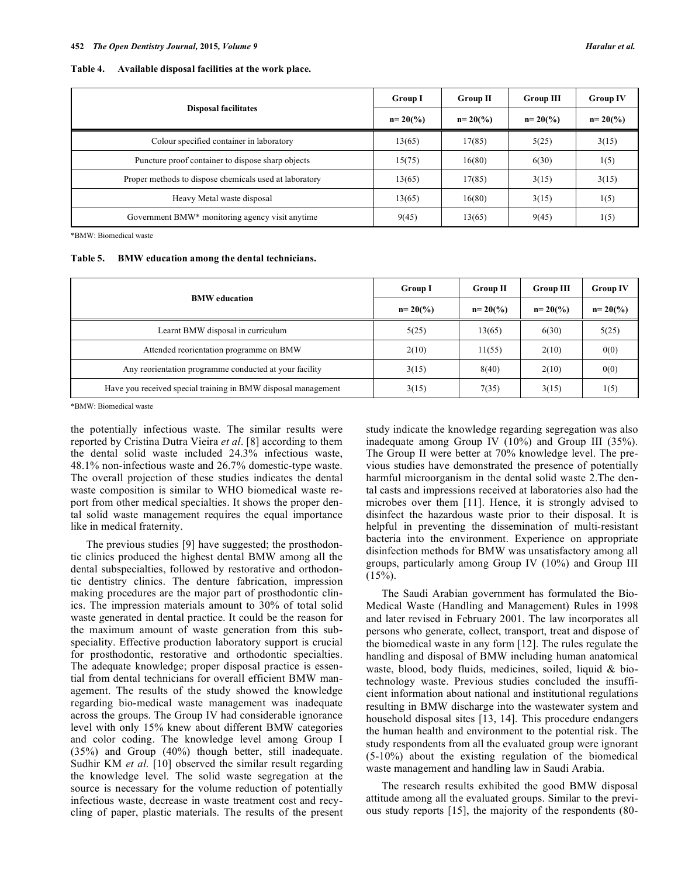| Table 4. | Available disposal facilities at the work place. |  |  |
|----------|--------------------------------------------------|--|--|
|----------|--------------------------------------------------|--|--|

|                                                        | <b>Group I</b>      | <b>Group II</b> | <b>Group III</b> | <b>Group IV</b> |
|--------------------------------------------------------|---------------------|-----------------|------------------|-----------------|
| <b>Disposal facilitates</b>                            | $n = 20\frac{6}{6}$ | $n=20(%)$       | $n=20(%)$        | $n = 20(%$      |
| Colour specified container in laboratory               | 13(65)              | 17(85)          | 5(25)            | 3(15)           |
| Puncture proof container to dispose sharp objects      | 15(75)              | 16(80)          | 6(30)            | 1(5)            |
| Proper methods to dispose chemicals used at laboratory | 13(65)              | 17(85)          | 3(15)            | 3(15)           |
| Heavy Metal waste disposal                             | 13(65)              | 16(80)          | 3(15)            | 1(5)            |
| Government BMW* monitoring agency visit anytime        | 9(45)               | 13(65)          | 9(45)            | 1(5)            |

\*BMW: Biomedical waste

| <b>Table 5.</b> |  |  |  |  |  | BMW education among the dental technicians. |
|-----------------|--|--|--|--|--|---------------------------------------------|
|-----------------|--|--|--|--|--|---------------------------------------------|

|                                                               | <b>Group I</b> | <b>Group II</b>     | <b>Group III</b> | <b>Group IV</b>     |
|---------------------------------------------------------------|----------------|---------------------|------------------|---------------------|
| <b>BMW</b> education                                          | $n=20(%)$      | $n = 20\frac{6}{6}$ | $n=20(%)$        | $n = 20\frac{6}{6}$ |
| Learnt BMW disposal in curriculum                             | 5(25)          | 13(65)              | 6(30)            | 5(25)               |
| Attended reorientation programme on BMW                       | 2(10)          | 11(55)              | 2(10)            | 0(0)                |
| Any reorientation programme conducted at your facility        | 3(15)          | 8(40)               | 2(10)            | 0(0)                |
| Have you received special training in BMW disposal management | 3(15)          | 7(35)               | 3(15)            | 1(5)                |

\*BMW: Biomedical waste

the potentially infectious waste. The similar results were reported by Cristina Dutra Vieira *et al*. [8] according to them the dental solid waste included 24.3% infectious waste, 48.1% non-infectious waste and 26.7% domestic-type waste. The overall projection of these studies indicates the dental waste composition is similar to WHO biomedical waste report from other medical specialties. It shows the proper dental solid waste management requires the equal importance like in medical fraternity.

The previous studies [9] have suggested; the prosthodontic clinics produced the highest dental BMW among all the dental subspecialties, followed by restorative and orthodontic dentistry clinics. The denture fabrication, impression making procedures are the major part of prosthodontic clinics. The impression materials amount to 30% of total solid waste generated in dental practice. It could be the reason for the maximum amount of waste generation from this subspeciality. Effective production laboratory support is crucial for prosthodontic, restorative and orthodontic specialties. The adequate knowledge; proper disposal practice is essential from dental technicians for overall efficient BMW management. The results of the study showed the knowledge regarding bio-medical waste management was inadequate across the groups. The Group IV had considerable ignorance level with only 15% knew about different BMW categories and color coding. The knowledge level among Group I (35%) and Group (40%) though better, still inadequate. Sudhir KM *et al.* [10] observed the similar result regarding the knowledge level. The solid waste segregation at the source is necessary for the volume reduction of potentially infectious waste, decrease in waste treatment cost and recycling of paper, plastic materials. The results of the present study indicate the knowledge regarding segregation was also inadequate among Group IV (10%) and Group III (35%). The Group II were better at 70% knowledge level. The previous studies have demonstrated the presence of potentially harmful microorganism in the dental solid waste 2.The dental casts and impressions received at laboratories also had the microbes over them [11]. Hence, it is strongly advised to disinfect the hazardous waste prior to their disposal. It is helpful in preventing the dissemination of multi-resistant bacteria into the environment. Experience on appropriate disinfection methods for BMW was unsatisfactory among all groups, particularly among Group IV (10%) and Group III  $(15\%)$ .

The Saudi Arabian government has formulated the Bio-Medical Waste (Handling and Management) Rules in 1998 and later revised in February 2001. The law incorporates all persons who generate, collect, transport, treat and dispose of the biomedical waste in any form [12]. The rules regulate the handling and disposal of BMW including human anatomical waste, blood, body fluids, medicines, soiled, liquid & biotechnology waste. Previous studies concluded the insufficient information about national and institutional regulations resulting in BMW discharge into the wastewater system and household disposal sites [13, 14]. This procedure endangers the human health and environment to the potential risk. The study respondents from all the evaluated group were ignorant (5-10%) about the existing regulation of the biomedical waste management and handling law in Saudi Arabia.

The research results exhibited the good BMW disposal attitude among all the evaluated groups. Similar to the previous study reports [15], the majority of the respondents (80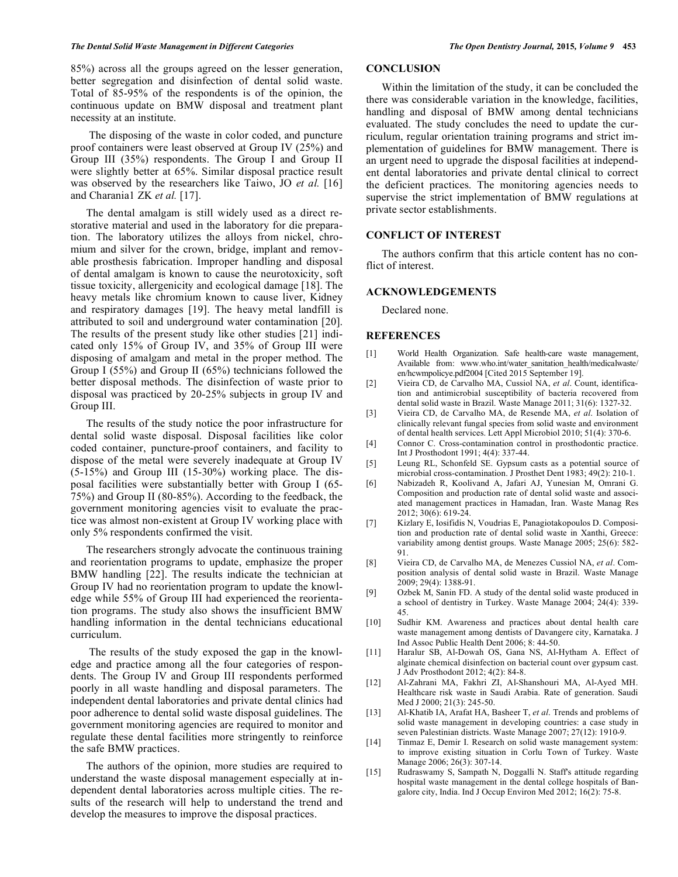85%) across all the groups agreed on the lesser generation, better segregation and disinfection of dental solid waste. Total of 85-95% of the respondents is of the opinion, the continuous update on BMW disposal and treatment plant necessity at an institute.

 The disposing of the waste in color coded, and puncture proof containers were least observed at Group IV (25%) and Group III (35%) respondents. The Group I and Group II were slightly better at 65%. Similar disposal practice result was observed by the researchers like Taiwo, JO *et al.* [16] and Charania1 ZK *et al.* [17].

The dental amalgam is still widely used as a direct restorative material and used in the laboratory for die preparation. The laboratory utilizes the alloys from nickel, chromium and silver for the crown, bridge, implant and removable prosthesis fabrication. Improper handling and disposal of dental amalgam is known to cause the neurotoxicity, soft tissue toxicity, allergenicity and ecological damage [18]. The heavy metals like chromium known to cause liver, Kidney and respiratory damages [19]. The heavy metal landfill is attributed to soil and underground water contamination [20]. The results of the present study like other studies [21] indicated only 15% of Group IV, and 35% of Group III were disposing of amalgam and metal in the proper method. The Group I (55%) and Group II (65%) technicians followed the better disposal methods. The disinfection of waste prior to disposal was practiced by 20-25% subjects in group IV and Group III.

The results of the study notice the poor infrastructure for dental solid waste disposal. Disposal facilities like color coded container, puncture-proof containers, and facility to dispose of the metal were severely inadequate at Group IV (5-15%) and Group III (15-30%) working place. The disposal facilities were substantially better with Group I (65- 75%) and Group II (80-85%). According to the feedback, the government monitoring agencies visit to evaluate the practice was almost non-existent at Group IV working place with only 5% respondents confirmed the visit.

The researchers strongly advocate the continuous training and reorientation programs to update, emphasize the proper BMW handling [22]. The results indicate the technician at Group IV had no reorientation program to update the knowledge while 55% of Group III had experienced the reorientation programs. The study also shows the insufficient BMW handling information in the dental technicians educational curriculum.

 The results of the study exposed the gap in the knowledge and practice among all the four categories of respondents. The Group IV and Group III respondents performed poorly in all waste handling and disposal parameters. The independent dental laboratories and private dental clinics had poor adherence to dental solid waste disposal guidelines. The government monitoring agencies are required to monitor and regulate these dental facilities more stringently to reinforce the safe BMW practices.

The authors of the opinion, more studies are required to understand the waste disposal management especially at independent dental laboratories across multiple cities. The results of the research will help to understand the trend and develop the measures to improve the disposal practices.

# **CONCLUSION**

Within the limitation of the study, it can be concluded the there was considerable variation in the knowledge, facilities, handling and disposal of BMW among dental technicians evaluated. The study concludes the need to update the curriculum, regular orientation training programs and strict implementation of guidelines for BMW management. There is an urgent need to upgrade the disposal facilities at independent dental laboratories and private dental clinical to correct the deficient practices. The monitoring agencies needs to supervise the strict implementation of BMW regulations at private sector establishments.

#### **CONFLICT OF INTEREST**

The authors confirm that this article content has no conflict of interest.

#### **ACKNOWLEDGEMENTS**

Declared none.

#### **REFERENCES**

- [1] World Health Organization. Safe health-care waste management, Available from: www.who.int/water\_sanitation\_health/medicalwaste/ en/hcwmpolicye.pdf2004 [Cited 2015 September 19].
- [2] Vieira CD, de Carvalho MA, Cussiol NA, *et al*. Count, identification and antimicrobial susceptibility of bacteria recovered from dental solid waste in Brazil. Waste Manage 2011; 31(6): 1327-32.
- [3] Vieira CD, de Carvalho MA, de Resende MA, *et al*. Isolation of clinically relevant fungal species from solid waste and environment of dental health services. Lett Appl Microbiol 2010; 51(4): 370-6.
- [4] Connor C. Cross-contamination control in prosthodontic practice. Int J Prosthodont 1991; 4(4): 337-44.
- [5] Leung RL, Schonfeld SE. Gypsum casts as a potential source of microbial cross-contamination. J Prosthet Dent 1983; 49(2): 210-1.
- [6] Nabizadeh R, Koolivand A, Jafari AJ, Yunesian M, Omrani G. Composition and production rate of dental solid waste and associated management practices in Hamadan, Iran. Waste Manag Res 2012; 30(6): 619-24.
- [7] Kizlary E, Iosifidis N, Voudrias E, Panagiotakopoulos D. Composition and production rate of dental solid waste in Xanthi, Greece: variability among dentist groups. Waste Manage 2005; 25(6): 582- 91.
- [8] Vieira CD, de Carvalho MA, de Menezes Cussiol NA, *et al*. Composition analysis of dental solid waste in Brazil. Waste Manage  $2009 \cdot 29(4) \cdot 1388 - 91$
- [9] Ozbek M, Sanin FD. A study of the dental solid waste produced in a school of dentistry in Turkey. Waste Manage 2004; 24(4): 339- 45.
- [10] Sudhir KM. Awareness and practices about dental health care waste management among dentists of Davangere city, Karnataka. J Ind Assoc Public Health Dent 2006; 8: 44-50.
- [11] Haralur SB, Al-Dowah OS, Gana NS, Al-Hytham A. Effect of alginate chemical disinfection on bacterial count over gypsum cast. J Adv Prosthodont 2012; 4(2): 84-8.
- [12] Al-Zahrani MA, Fakhri ZI, Al-Shanshouri MA, Al-Ayed MH. Healthcare risk waste in Saudi Arabia. Rate of generation. Saudi Med J 2000; 21(3): 245-50.
- [13] Al-Khatib IA, Arafat HA, Basheer T, *et al*. Trends and problems of solid waste management in developing countries: a case study in seven Palestinian districts. Waste Manage 2007; 27(12): 1910-9.
- [14] Tinmaz E, Demir I. Research on solid waste management system: to improve existing situation in Corlu Town of Turkey. Waste Manage 2006; 26(3): 307-14.
- [15] Rudraswamy S, Sampath N, Doggalli N. Staff's attitude regarding hospital waste management in the dental college hospitals of Bangalore city, India. Ind J Occup Environ Med 2012; 16(2): 75-8.